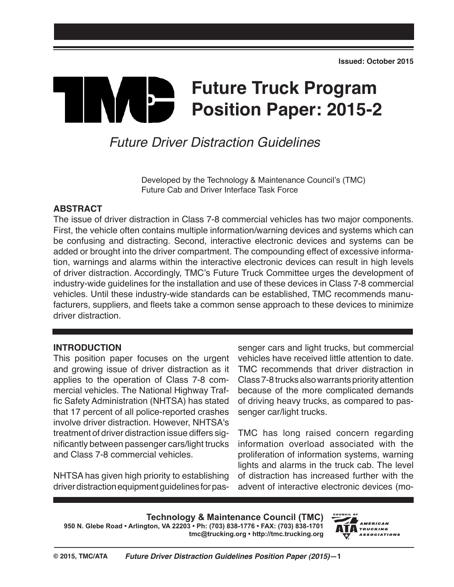# **Future Truck Program TIME Position Paper: 2015-2**

# *Future Driver Distraction Guidelines*

Developed by the Technology & Maintenance Council's (TMC) Future Cab and Driver Interface Task Force

#### **ABSTRACT**

The issue of driver distraction in Class 7-8 commercial vehicles has two major components. First, the vehicle often contains multiple information/warning devices and systems which can be confusing and distracting. Second, interactive electronic devices and systems can be added or brought into the driver compartment. The compounding effect of excessive information, warnings and alarms within the interactive electronic devices can result in high levels of driver distraction. Accordingly, TMC's Future Truck Committee urges the development of industry-wide guidelines for the installation and use of these devices in Class 7-8 commercial vehicles. Until these industry-wide standards can be established, TMC recommends manufacturers, suppliers, and fleets take a common sense approach to these devices to minimize driver distraction.

#### **INTRODUCTION**

This position paper focuses on the urgent and growing issue of driver distraction as it applies to the operation of Class 7-8 commercial vehicles. The National Highway Traffic Safety Administration (NHTSA) has stated that 17 percent of all police-reported crashes involve driver distraction. However, NHTSA's treatment of driver distraction issue differs significantly between passenger cars/light trucks and Class 7-8 commercial vehicles.

NHTSA has given high priority to establishing driver distraction equipment guidelines for pas-

senger cars and light trucks, but commercial vehicles have received little attention to date. TMC recommends that driver distraction in Class 7-8 trucks also warrants priority attention because of the more complicated demands of driving heavy trucks, as compared to passenger car/light trucks.

TMC has long raised concern regarding information overload associated with the proliferation of information systems, warning lights and alarms in the truck cab. The level of distraction has increased further with the advent of interactive electronic devices (mo-

**Technology & Maintenance Council (TMC) 950 N. Glebe Road • Arlington, VA 22203 • Ph: (703) 838-1776 • FAX: (703) 838-1701**

**tmc@trucking.org • http://tmc.trucking.org**

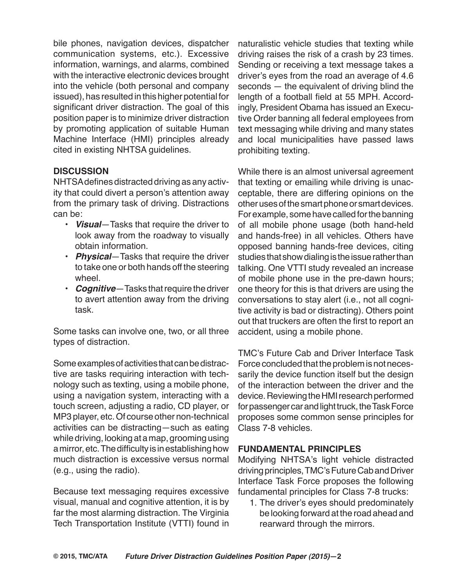bile phones, navigation devices, dispatcher communication systems, etc.). Excessive information, warnings, and alarms, combined with the interactive electronic devices brought into the vehicle (both personal and company issued), has resulted in this higher potential for significant driver distraction. The goal of this position paper is to minimize driver distraction by promoting application of suitable Human Machine Interface (HMI) principles already cited in existing NHTSA guidelines.

#### **DISCUSSION**

NHTSA defines distracted driving as any activity that could divert a person's attention away from the primary task of driving. Distractions can be:

- *Visual*—Tasks that require the driver to look away from the roadway to visually obtain information.
- *Physical*—Tasks that require the driver to take one or both hands off the steering wheel.
- *Cognitive*—Tasks that require the driver to avert attention away from the driving task.

Some tasks can involve one, two, or all three types of distraction.

Some examples of activities that can be distractive are tasks requiring interaction with technology such as texting, using a mobile phone, using a navigation system, interacting with a touch screen, adjusting a radio, CD player, or MP3 player, etc. Of course other non-technical activities can be distracting—such as eating while driving, looking at a map, grooming using a mirror, etc. The difficulty is in establishing how much distraction is excessive versus normal (e.g., using the radio).

Because text messaging requires excessive visual, manual and cognitive attention, it is by far the most alarming distraction. The Virginia Tech Transportation Institute (VTTI) found in

naturalistic vehicle studies that texting while driving raises the risk of a crash by 23 times. Sending or receiving a text message takes a driver's eyes from the road an average of 4.6 seconds — the equivalent of driving blind the length of a football field at 55 MPH. Accordingly, President Obama has issued an Executive Order banning all federal employees from text messaging while driving and many states and local municipalities have passed laws prohibiting texting.

While there is an almost universal agreement that texting or emailing while driving is unacceptable, there are differing opinions on the other uses of the smart phone or smart devices. For example, some have called for the banning of all mobile phone usage (both hand-held and hands-free) in all vehicles. Others have opposed banning hands-free devices, citing studies that show dialing is the issue rather than talking. One VTTI study revealed an increase of mobile phone use in the pre-dawn hours; one theory for this is that drivers are using the conversations to stay alert (i.e., not all cognitive activity is bad or distracting). Others point out that truckers are often the first to report an accident, using a mobile phone.

TMC's Future Cab and Driver Interface Task Force concluded that the problem is not necessarily the device function itself but the design of the interaction between the driver and the device. Reviewing the HMI research performed for passenger car and light truck, the Task Force proposes some common sense principles for Class 7-8 vehicles.

#### **FUNDAMENTAL PRINCIPLES**

Modifying NHTSA's light vehicle distracted driving principles, TMC's Future Cab and Driver Interface Task Force proposes the following fundamental principles for Class 7-8 trucks:

1. The driver's eyes should predominately be looking forward at the road ahead and rearward through the mirrors.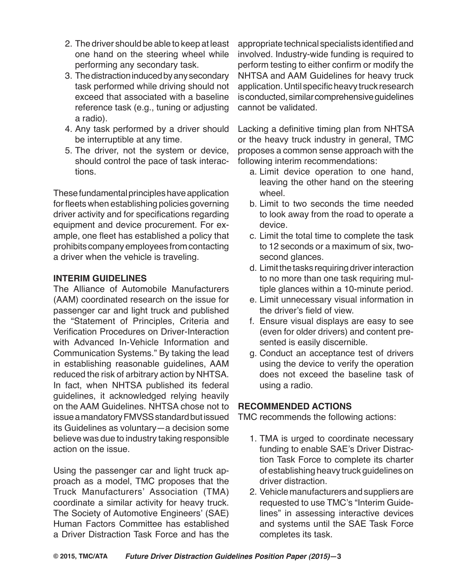- 2. The driver should be able to keep at least one hand on the steering wheel while performing any secondary task.
- 3. The distraction induced by any secondary task performed while driving should not exceed that associated with a baseline reference task (e.g., tuning or adjusting a radio).
- 4. Any task performed by a driver should be interruptible at any time.
- 5. The driver, not the system or device, should control the pace of task interactions.

These fundamental principles have application for fleets when establishing policies governing driver activity and for specifications regarding equipment and device procurement. For example, one fleet has established a policy that prohibits company employees from contacting a driver when the vehicle is traveling.

## **INTERIM GUIDELINES**

The Alliance of Automobile Manufacturers (AAM) coordinated research on the issue for passenger car and light truck and published the "Statement of Principles, Criteria and Verification Procedures on Driver-Interaction with Advanced In-Vehicle Information and Communication Systems." By taking the lead in establishing reasonable guidelines, AAM reduced the risk of arbitrary action by NHTSA. In fact, when NHTSA published its federal guidelines, it acknowledged relying heavily on the AAM Guidelines. NHTSA chose not to issue a mandatory FMVSS standard but issued its Guidelines as voluntary—a decision some believe was due to industry taking responsible action on the issue.

Using the passenger car and light truck approach as a model, TMC proposes that the Truck Manufacturers' Association (TMA) coordinate a similar activity for heavy truck. The Society of Automotive Engineers' (SAE) Human Factors Committee has established a Driver Distraction Task Force and has the

appropriate technical specialists identified and involved. Industry-wide funding is required to perform testing to either confirm or modify the NHTSA and AAM Guidelines for heavy truck application. Until specific heavy truck research is conducted, similar comprehensive guidelines cannot be validated.

Lacking a definitive timing plan from NHTSA or the heavy truck industry in general, TMC proposes a common sense approach with the following interim recommendations:

- a. Limit device operation to one hand, leaving the other hand on the steering wheel.
- b. Limit to two seconds the time needed to look away from the road to operate a device.
- c. Limit the total time to complete the task to 12 seconds or a maximum of six, twosecond glances.
- d. Limit the tasks requiring driver interaction to no more than one task requiring multiple glances within a 10-minute period.
- e. Limit unnecessary visual information in the driver's field of view.
- f. Ensure visual displays are easy to see (even for older drivers) and content presented is easily discernible.
- g. Conduct an acceptance test of drivers using the device to verify the operation does not exceed the baseline task of using a radio.

## **RECOMMENDED ACTIONS**

TMC recommends the following actions:

- 1. TMA is urged to coordinate necessary funding to enable SAE's Driver Distraction Task Force to complete its charter of establishing heavy truck guidelines on driver distraction.
- 2. Vehicle manufacturers and suppliers are requested to use TMC's "Interim Guidelines" in assessing interactive devices and systems until the SAE Task Force completes its task.